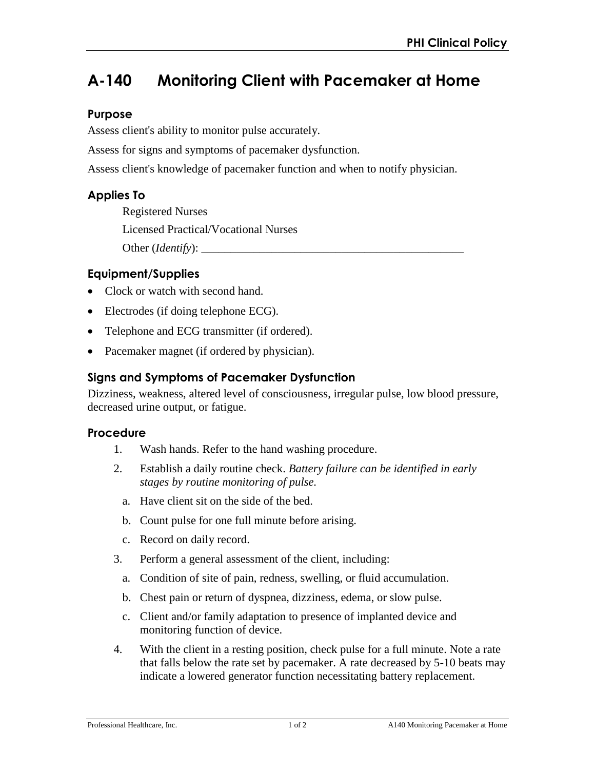# **A-140 Monitoring Client with Pacemaker at Home**

## **Purpose**

Assess client's ability to monitor pulse accurately.

Assess for signs and symptoms of pacemaker dysfunction.

Assess client's knowledge of pacemaker function and when to notify physician.

# **Applies To**

Registered Nurses Licensed Practical/Vocational Nurses Other (*Identify*):

# **Equipment/Supplies**

- Clock or watch with second hand.
- Electrodes (if doing telephone ECG).
- Telephone and ECG transmitter (if ordered).
- Pacemaker magnet (if ordered by physician).

# **Signs and Symptoms of Pacemaker Dysfunction**

Dizziness, weakness, altered level of consciousness, irregular pulse, low blood pressure, decreased urine output, or fatigue.

## **Procedure**

- 1. Wash hands. Refer to the hand washing procedure.
- 2. Establish a daily routine check. *Battery failure can be identified in early stages by routine monitoring of pulse.*
	- a. Have client sit on the side of the bed.
	- b. Count pulse for one full minute before arising.
	- c. Record on daily record.
- 3. Perform a general assessment of the client, including:
	- a. Condition of site of pain, redness, swelling, or fluid accumulation.
	- b. Chest pain or return of dyspnea, dizziness, edema, or slow pulse.
	- c. Client and/or family adaptation to presence of implanted device and monitoring function of device.
- 4. With the client in a resting position, check pulse for a full minute. Note a rate that falls below the rate set by pacemaker. A rate decreased by 5-10 beats may indicate a lowered generator function necessitating battery replacement.